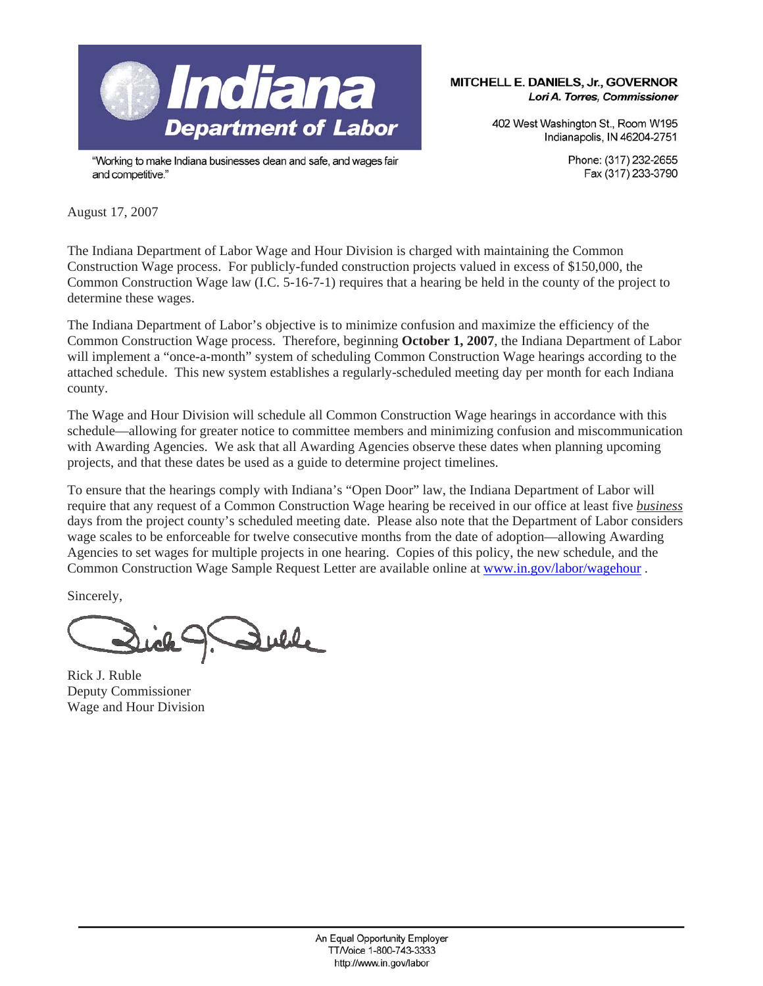

"Working to make Indiana businesses clean and safe, and wages fair and competitive."

MITCHELL E. DANIELS, Jr., GOVERNOR Lori A. Torres, Commissioner

> 402 West Washington St., Room W195 Indianapolis, IN 46204-2751

> > Phone: (317) 232-2655 Fax (317) 233-3790

August 17, 2007

The Indiana Department of Labor Wage and Hour Division is charged with maintaining the Common Construction Wage process. For publicly-funded construction projects valued in excess of \$150,000, the Common Construction Wage law (I.C. 5-16-7-1) requires that a hearing be held in the county of the project to determine these wages.

The Indiana Department of Labor's objective is to minimize confusion and maximize the efficiency of the Common Construction Wage process. Therefore, beginning **October 1, 2007**, the Indiana Department of Labor will implement a "once-a-month" system of scheduling Common Construction Wage hearings according to the attached schedule. This new system establishes a regularly-scheduled meeting day per month for each Indiana county.

The Wage and Hour Division will schedule all Common Construction Wage hearings in accordance with this schedule—allowing for greater notice to committee members and minimizing confusion and miscommunication with Awarding Agencies. We ask that all Awarding Agencies observe these dates when planning upcoming projects, and that these dates be used as a guide to determine project timelines.

To ensure that the hearings comply with Indiana's "Open Door" law, the Indiana Department of Labor will require that any request of a Common Construction Wage hearing be received in our office at least five *business* days from the project county's scheduled meeting date. Please also note that the Department of Labor considers wage scales to be enforceable for twelve consecutive months from the date of adoption—allowing Awarding Agencies to set wages for multiple projects in one hearing. Copies of this policy, the new schedule, and the Common Construction Wage Sample Request Letter are available online at www.in.gov/labor/wagehour .

Sincerely,

Rick J. Ruble Deputy Commissioner Wage and Hour Division